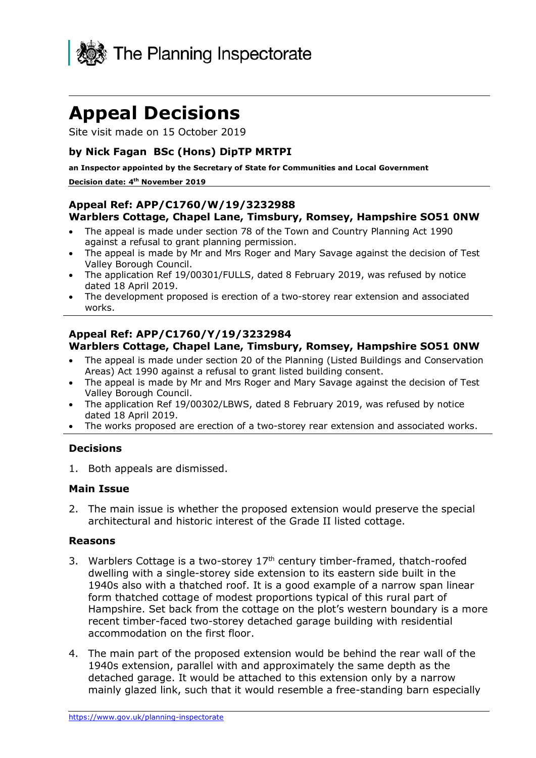

# **Appeal Decisions**

Site visit made on 15 October 2019

## **by Nick Fagan BSc (Hons) DipTP MRTPI**

**an Inspector appointed by the Secretary of State for Communities and Local Government Decision date: 4 th November 2019** 

#### **Appeal Ref: APP/C1760/W/19/3232988 Warblers Cottage, Chapel Lane, Timsbury, Romsey, Hampshire SO51 0NW**

- The appeal is made under section 78 of the Town and Country Planning Act 1990 against a refusal to grant planning permission.
- The appeal is made by Mr and Mrs Roger and Mary Savage against the decision of Test Valley Borough Council.
- The application Ref 19/00301/FULLS, dated 8 February 2019, was refused by notice dated 18 April 2019.
- The development proposed is erection of a two-storey rear extension and associated works.

#### **Appeal Ref: APP/C1760/Y/19/3232984 Warblers Cottage, Chapel Lane, Timsbury, Romsey, Hampshire SO51 0NW**

- The appeal is made under section 20 of the Planning (Listed Buildings and Conservation Areas) Act 1990 against a refusal to grant listed building consent.
- The appeal is made by Mr and Mrs Roger and Mary Savage against the decision of Test Valley Borough Council.
- The application Ref 19/00302/LBWS, dated 8 February 2019, was refused by notice dated 18 April 2019.
- The works proposed are erection of a two-storey rear extension and associated works.

#### **Decisions**

1. Both appeals are dismissed.

### **Main Issue**

2. The main issue is whether the proposed extension would preserve the special architectural and historic interest of the Grade II listed cottage.

#### **Reasons**

- 3. Warblers Cottage is a two-storey  $17<sup>th</sup>$  century timber-framed, thatch-roofed dwelling with a single-storey side extension to its eastern side built in the 1940s also with a thatched roof. It is a good example of a narrow span linear form thatched cottage of modest proportions typical of this rural part of Hampshire. Set back from the cottage on the plot's western boundary is a more recent timber-faced two-storey detached garage building with residential accommodation on the first floor.
- 4. The main part of the proposed extension would be behind the rear wall of the 1940s extension, parallel with and approximately the same depth as the detached garage. It would be attached to this extension only by a narrow mainly glazed link, such that it would resemble a free-standing barn especially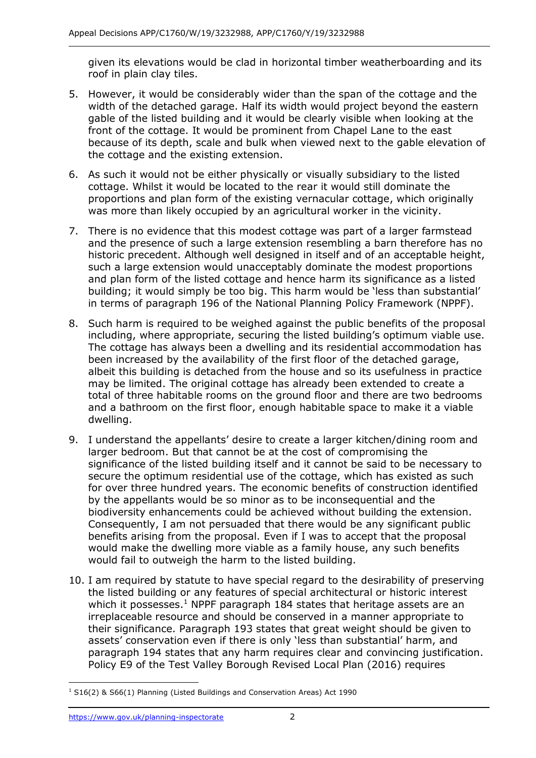given its elevations would be clad in horizontal timber weatherboarding and its roof in plain clay tiles.

- 5. However, it would be considerably wider than the span of the cottage and the width of the detached garage. Half its width would project beyond the eastern gable of the listed building and it would be clearly visible when looking at the front of the cottage. It would be prominent from Chapel Lane to the east because of its depth, scale and bulk when viewed next to the gable elevation of the cottage and the existing extension.
- 6. As such it would not be either physically or visually subsidiary to the listed cottage. Whilst it would be located to the rear it would still dominate the proportions and plan form of the existing vernacular cottage, which originally was more than likely occupied by an agricultural worker in the vicinity.
- 7. There is no evidence that this modest cottage was part of a larger farmstead and the presence of such a large extension resembling a barn therefore has no historic precedent. Although well designed in itself and of an acceptable height, such a large extension would unacceptably dominate the modest proportions and plan form of the listed cottage and hence harm its significance as a listed building; it would simply be too big. This harm would be 'less than substantial' in terms of paragraph 196 of the National Planning Policy Framework (NPPF).
- 8. Such harm is required to be weighed against the public benefits of the proposal including, where appropriate, securing the listed building's optimum viable use. The cottage has always been a dwelling and its residential accommodation has been increased by the availability of the first floor of the detached garage, albeit this building is detached from the house and so its usefulness in practice may be limited. The original cottage has already been extended to create a total of three habitable rooms on the ground floor and there are two bedrooms and a bathroom on the first floor, enough habitable space to make it a viable dwelling.
- 9. I understand the appellants' desire to create a larger kitchen/dining room and larger bedroom. But that cannot be at the cost of compromising the significance of the listed building itself and it cannot be said to be necessary to secure the optimum residential use of the cottage, which has existed as such for over three hundred years. The economic benefits of construction identified by the appellants would be so minor as to be inconsequential and the biodiversity enhancements could be achieved without building the extension. Consequently, I am not persuaded that there would be any significant public benefits arising from the proposal. Even if I was to accept that the proposal would make the dwelling more viable as a family house, any such benefits would fail to outweigh the harm to the listed building.
- 10. I am required by statute to have special regard to the desirability of preserving the listed building or any features of special architectural or historic interest which it possesses.<sup>1</sup> NPPF paragraph 184 states that heritage assets are an irreplaceable resource and should be conserved in a manner appropriate to their significance. Paragraph 193 states that great weight should be given to assets' conservation even if there is only 'less than substantial' harm, and paragraph 194 states that any harm requires clear and convincing justification. Policy E9 of the Test Valley Borough Revised Local Plan (2016) requires

j <sup>1</sup> S16(2) & S66(1) Planning (Listed Buildings and Conservation Areas) Act 1990